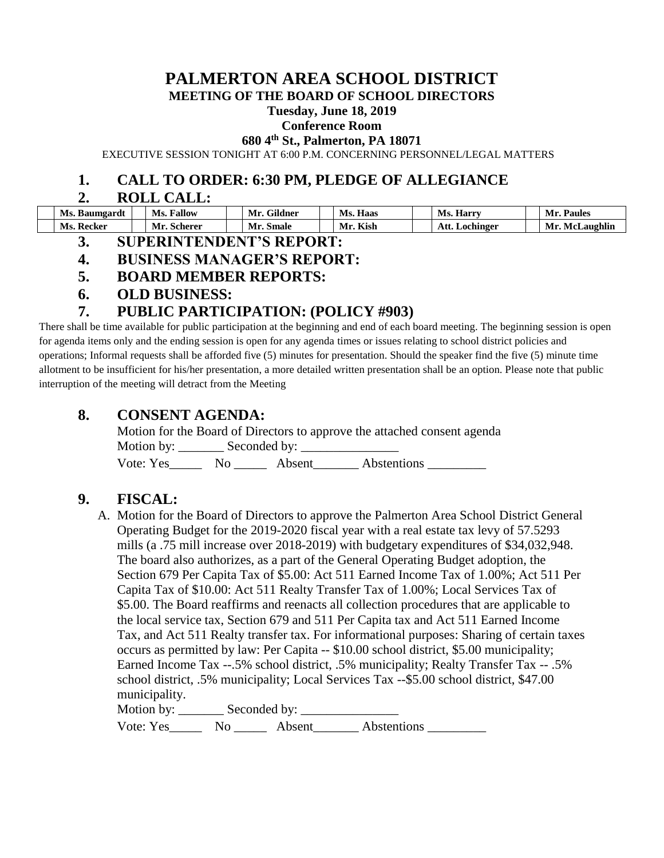# **PALMERTON AREA SCHOOL DISTRICT**

**MEETING OF THE BOARD OF SCHOOL DIRECTORS**

#### **Tuesday, June 18, 2019**

#### **Conference Room**

**680 4th St., Palmerton, PA 18071**

EXECUTIVE SESSION TONIGHT AT 6:00 P.M. CONCERNING PERSONNEL/LEGAL MATTERS

#### **1. CALL TO ORDER: 6:30 PM, PLEDGE OF ALLEGIANCE**

#### **2. ROLL CALL:**

| Ms. Baumgardt     | <b>Ms. Fallow</b> | Mr. Gildner | Ms. Haas | <b>Ms. Harry</b> | <b>Paules</b><br>Mr. |
|-------------------|-------------------|-------------|----------|------------------|----------------------|
| <b>Ms. Recker</b> | Mr. Scherer       | Mr. Smale   | Mr. Kish | Att. Lochinger   | Mr. McLaughlin       |

- **3. SUPERINTENDENT'S REPORT:**
- **4. BUSINESS MANAGER'S REPORT:**
- **5. BOARD MEMBER REPORTS:**
- **6. OLD BUSINESS:**

## **7. PUBLIC PARTICIPATION: (POLICY #903)**

There shall be time available for public participation at the beginning and end of each board meeting. The beginning session is open for agenda items only and the ending session is open for any agenda times or issues relating to school district policies and operations; Informal requests shall be afforded five (5) minutes for presentation. Should the speaker find the five (5) minute time allotment to be insufficient for his/her presentation, a more detailed written presentation shall be an option. Please note that public interruption of the meeting will detract from the Meeting

#### **8. CONSENT AGENDA:**

Motion for the Board of Directors to approve the attached consent agenda Motion by: \_\_\_\_\_\_\_ Seconded by: \_\_\_\_\_\_\_\_\_\_\_\_\_\_\_ Vote: Yes\_\_\_\_\_ No \_\_\_\_\_ Absent\_\_\_\_\_\_\_ Abstentions \_\_\_\_\_\_\_\_\_

## **9. FISCAL:**

A. Motion for the Board of Directors to approve the Palmerton Area School District General Operating Budget for the 2019-2020 fiscal year with a real estate tax levy of 57.5293 mills (a .75 mill increase over 2018-2019) with budgetary expenditures of \$34,032,948. The board also authorizes, as a part of the General Operating Budget adoption, the Section 679 Per Capita Tax of \$5.00: Act 511 Earned Income Tax of 1.00%; Act 511 Per Capita Tax of \$10.00: Act 511 Realty Transfer Tax of 1.00%; Local Services Tax of \$5.00. The Board reaffirms and reenacts all collection procedures that are applicable to the local service tax, Section 679 and 511 Per Capita tax and Act 511 Earned Income Tax, and Act 511 Realty transfer tax. For informational purposes: Sharing of certain taxes occurs as permitted by law: Per Capita -- \$10.00 school district, \$5.00 municipality; Earned Income Tax --.5% school district, .5% municipality; Realty Transfer Tax -- .5% school district, .5% municipality; Local Services Tax --\$5.00 school district, \$47.00 municipality. Motion by: Seconded by:

Vote: Yes\_\_\_\_\_\_ No \_\_\_\_\_\_ Absent\_\_\_\_\_\_\_ Abstentions \_\_\_\_\_\_\_\_\_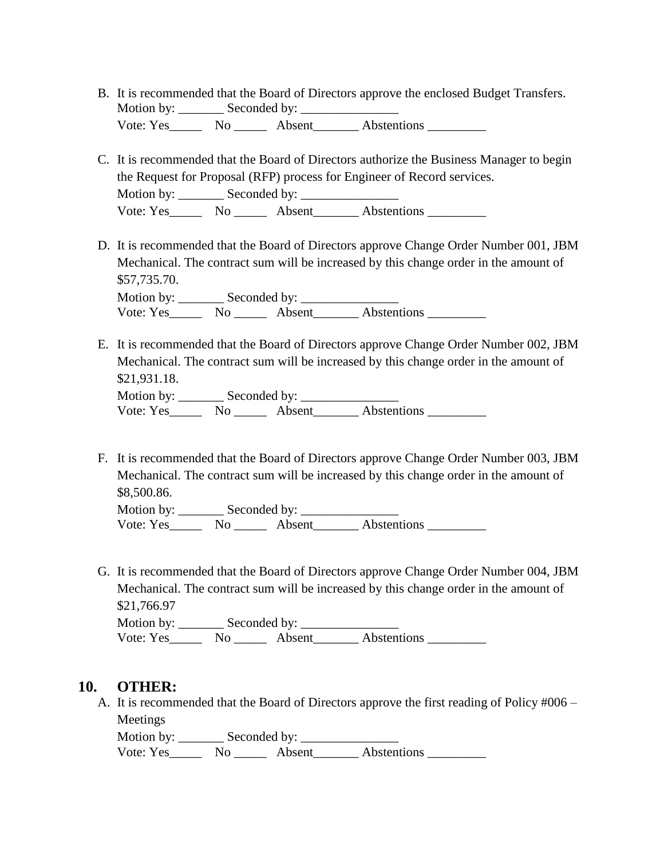- B. It is recommended that the Board of Directors approve the enclosed Budget Transfers. Motion by: \_\_\_\_\_\_\_ Seconded by: \_\_\_\_\_\_\_\_\_\_\_\_\_\_\_ Vote: Yes No Absent Abstentions
- C. It is recommended that the Board of Directors authorize the Business Manager to begin the Request for Proposal (RFP) process for Engineer of Record services. Motion by: \_\_\_\_\_\_\_ Seconded by: \_\_\_\_\_\_\_\_\_\_\_\_\_\_\_ Vote: Yes\_\_\_\_\_\_\_ No \_\_\_\_\_\_\_ Absent\_\_\_\_\_\_\_\_ Abstentions \_\_\_\_\_\_\_\_\_\_\_
- D. It is recommended that the Board of Directors approve Change Order Number 001, JBM Mechanical. The contract sum will be increased by this change order in the amount of \$57,735.70. Motion by: \_\_\_\_\_\_\_\_\_ Seconded by: \_\_\_\_\_\_\_\_\_\_

Vote: Yes\_\_\_\_\_\_\_\_ No \_\_\_\_\_\_\_ Absent\_\_\_\_\_\_\_\_\_ Abstentions \_\_\_\_\_\_\_\_\_\_

- E. It is recommended that the Board of Directors approve Change Order Number 002, JBM Mechanical. The contract sum will be increased by this change order in the amount of \$21,931.18. Motion by: \_\_\_\_\_\_\_ Seconded by: \_\_\_\_\_\_\_\_\_\_\_\_\_\_\_ Vote: Yes\_\_\_\_\_\_\_ No \_\_\_\_\_\_ Absent\_\_\_\_\_\_\_ Abstentions \_\_\_\_\_\_\_\_\_\_
- F. It is recommended that the Board of Directors approve Change Order Number 003, JBM Mechanical. The contract sum will be increased by this change order in the amount of \$8,500.86.

Motion by: \_\_\_\_\_\_\_ Seconded by: \_\_\_\_\_\_\_\_\_\_\_\_\_\_\_ Vote: Yes\_\_\_\_\_ No \_\_\_\_\_ Absent\_\_\_\_\_\_\_ Abstentions \_\_\_\_\_\_\_\_\_

G. It is recommended that the Board of Directors approve Change Order Number 004, JBM Mechanical. The contract sum will be increased by this change order in the amount of \$21,766.97

Motion by: \_\_\_\_\_\_\_ Seconded by: \_\_\_\_\_\_\_\_\_\_\_\_\_\_\_ Vote: Yes\_\_\_\_\_\_\_ No \_\_\_\_\_\_ Absent\_\_\_\_\_\_\_ Abstentions \_\_\_\_\_\_\_\_\_\_

#### **10. OTHER:**

A. It is recommended that the Board of Directors approve the first reading of Policy #006 – Meetings

Motion by: \_\_\_\_\_\_\_ Seconded by: \_\_\_\_\_\_\_\_\_\_\_\_\_\_\_ Vote: Yes\_\_\_\_\_\_\_\_ No \_\_\_\_\_\_\_ Absent\_\_\_\_\_\_\_\_ Abstentions \_\_\_\_\_\_\_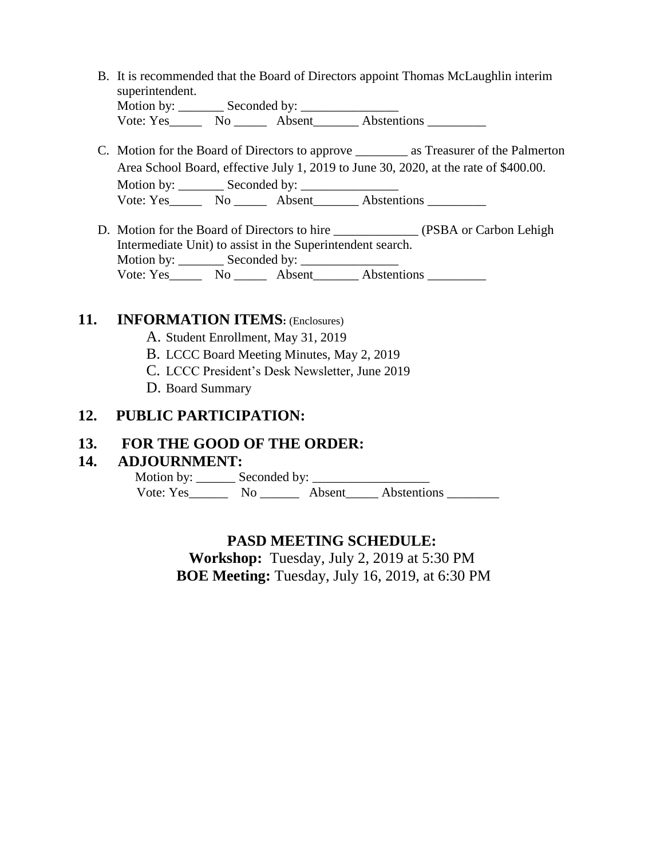B. It is recommended that the Board of Directors appoint Thomas McLaughlin interim superintendent.<br>Motion by:  $S_{\alpha\alpha\alpha\beta}$  by:

| <b>NIOUOII DY.</b> | Seconded by: |        |             |  |
|--------------------|--------------|--------|-------------|--|
| Vote: Yes          | No.          | Absent | Abstentions |  |

- C. Motion for the Board of Directors to approve \_\_\_\_\_\_\_\_ as Treasurer of the Palmerton Area School Board, effective July 1, 2019 to June 30, 2020, at the rate of \$400.00. Motion by: Seconded by: Vote: Yes\_\_\_\_\_\_\_\_ No \_\_\_\_\_\_\_ Absent\_\_\_\_\_\_\_\_ Abstentions \_\_\_\_\_\_\_\_\_\_\_\_\_\_\_\_\_\_\_\_\_\_\_\_
- D. Motion for the Board of Directors to hire \_\_\_\_\_\_\_\_\_\_\_\_\_\_ (PSBA or Carbon Lehigh Intermediate Unit) to assist in the Superintendent search. Motion by: \_\_\_\_\_\_\_ Seconded by: \_\_\_\_\_\_\_\_\_\_\_\_\_\_\_ Vote: Yes\_\_\_\_\_\_\_\_ No \_\_\_\_\_\_\_\_ Absent\_\_\_\_\_\_\_\_\_\_ Abstentions \_\_\_\_\_\_\_\_\_\_\_\_\_\_\_\_\_\_\_\_\_

## **11. INFORMATION ITEMS:** (Enclosures)

- A. Student Enrollment, May 31, 2019
- B. LCCC Board Meeting Minutes, May 2, 2019
- C. LCCC President's Desk Newsletter, June 2019
- D. Board Summary

## **12. PUBLIC PARTICIPATION:**

## **13. FOR THE GOOD OF THE ORDER:**

#### **14. ADJOURNMENT:**

 Motion by: \_\_\_\_\_\_ Seconded by: \_\_\_\_\_\_\_\_\_\_\_\_\_\_\_\_\_\_ Vote: Yes\_\_\_\_\_\_\_\_ No \_\_\_\_\_\_\_\_ Absent\_\_\_\_\_\_ Abstentions \_\_\_\_\_\_\_\_

## **PASD MEETING SCHEDULE:**

**Workshop:** Tuesday, July 2, 2019 at 5:30 PM **BOE Meeting:** Tuesday, July 16, 2019, at 6:30 PM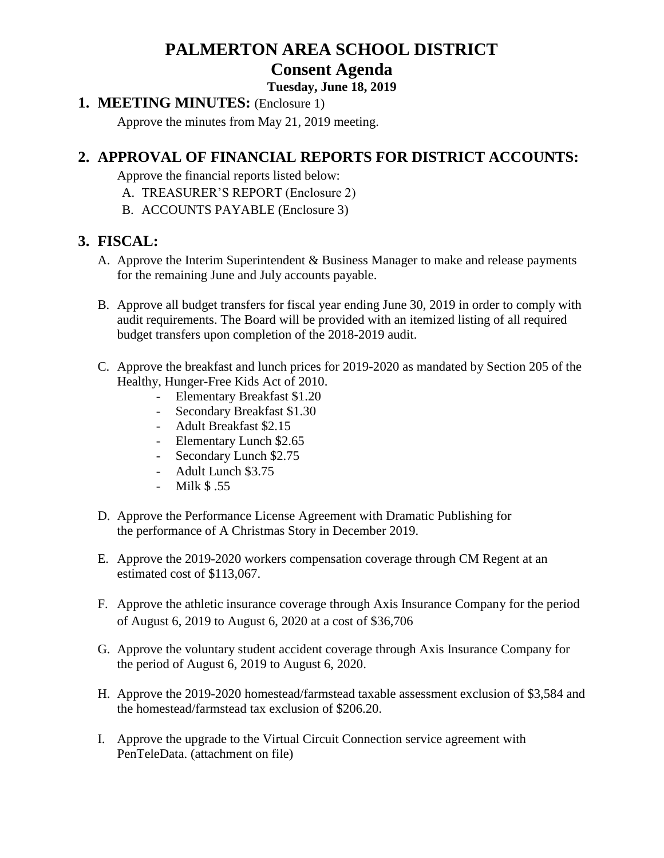# **PALMERTON AREA SCHOOL DISTRICT Consent Agenda**

#### **Tuesday, June 18, 2019**

**1. MEETING MINUTES:** (Enclosure 1)

Approve the minutes from May 21, 2019 meeting.

# **2. APPROVAL OF FINANCIAL REPORTS FOR DISTRICT ACCOUNTS:**

Approve the financial reports listed below:

- A. TREASURER'S REPORT (Enclosure 2)
- B. ACCOUNTS PAYABLE (Enclosure 3)

## **3. FISCAL:**

- A. Approve the Interim Superintendent & Business Manager to make and release payments for the remaining June and July accounts payable.
- B. Approve all budget transfers for fiscal year ending June 30, 2019 in order to comply with audit requirements. The Board will be provided with an itemized listing of all required budget transfers upon completion of the 2018-2019 audit.
- C. Approve the breakfast and lunch prices for 2019-2020 as mandated by Section 205 of the Healthy, Hunger-Free Kids Act of 2010.
	- Elementary Breakfast \$1.20
	- Secondary Breakfast \$1.30
	- Adult Breakfast \$2.15
	- Elementary Lunch \$2.65
	- Secondary Lunch \$2.75
	- Adult Lunch \$3.75
	- Milk \$ .55
- D. Approve the Performance License Agreement with Dramatic Publishing for the performance of A Christmas Story in December 2019.
- E. Approve the 2019-2020 workers compensation coverage through CM Regent at an estimated cost of \$113,067.
- F. Approve the athletic insurance coverage through Axis Insurance Company for the period of August 6, 2019 to August 6, 2020 at a cost of \$36,706
- G. Approve the voluntary student accident coverage through Axis Insurance Company for the period of August 6, 2019 to August 6, 2020.
- H. Approve the 2019-2020 homestead/farmstead taxable assessment exclusion of \$3,584 and the homestead/farmstead tax exclusion of \$206.20.
- I. Approve the upgrade to the Virtual Circuit Connection service agreement with PenTeleData. (attachment on file)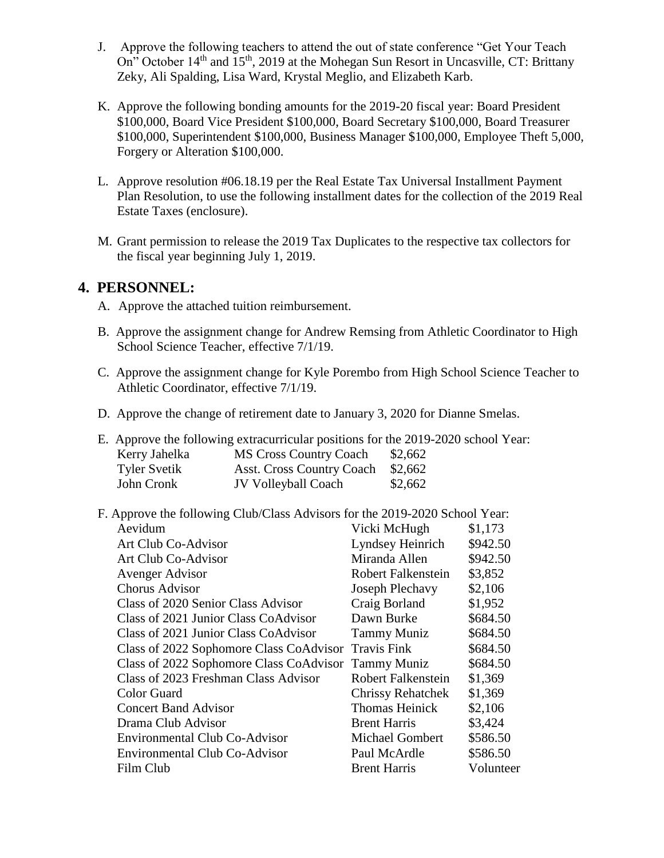- J. Approve the following teachers to attend the out of state conference "Get Your Teach On" October  $14<sup>th</sup>$  and  $15<sup>th</sup>$ , 2019 at the Mohegan Sun Resort in Uncasville, CT: Brittany Zeky, Ali Spalding, Lisa Ward, Krystal Meglio, and Elizabeth Karb.
- K. Approve the following bonding amounts for the 2019-20 fiscal year: Board President \$100,000, Board Vice President \$100,000, Board Secretary \$100,000, Board Treasurer \$100,000, Superintendent \$100,000, Business Manager \$100,000, Employee Theft 5,000, Forgery or Alteration \$100,000.
- L. Approve resolution #06.18.19 per the Real Estate Tax Universal Installment Payment Plan Resolution, to use the following installment dates for the collection of the 2019 Real Estate Taxes (enclosure).
- M. Grant permission to release the 2019 Tax Duplicates to the respective tax collectors for the fiscal year beginning July 1, 2019.

#### **4. PERSONNEL:**

- A. Approve the attached tuition reimbursement.
- B. Approve the assignment change for Andrew Remsing from Athletic Coordinator to High School Science Teacher, effective 7/1/19.
- C. Approve the assignment change for Kyle Porembo from High School Science Teacher to Athletic Coordinator, effective 7/1/19.
- D. Approve the change of retirement date to January 3, 2020 for Dianne Smelas.

E. Approve the following extracurricular positions for the 2019-2020 school Year:

| Kerry Jahelka       | <b>MS Cross Country Coach</b>    | \$2,662 |
|---------------------|----------------------------------|---------|
| <b>Tyler Svetik</b> | <b>Asst. Cross Country Coach</b> | \$2,662 |
| John Cronk          | <b>JV Volleyball Coach</b>       | \$2,662 |

F. Approve the following Club/Class Advisors for the 2019-2020 School Year:

| Aevidum                                             | Vicki McHugh              | \$1,173   |
|-----------------------------------------------------|---------------------------|-----------|
| Art Club Co-Advisor                                 | Lyndsey Heinrich          | \$942.50  |
| Art Club Co-Advisor                                 | Miranda Allen             | \$942.50  |
| Avenger Advisor                                     | <b>Robert Falkenstein</b> | \$3,852   |
| <b>Chorus Advisor</b>                               | Joseph Plechavy           | \$2,106   |
| Class of 2020 Senior Class Advisor                  | Craig Borland             | \$1,952   |
| Class of 2021 Junior Class CoAdvisor                | Dawn Burke                | \$684.50  |
| Class of 2021 Junior Class CoAdvisor                | <b>Tammy Muniz</b>        | \$684.50  |
| Class of 2022 Sophomore Class CoAdvisor             | <b>Travis Fink</b>        | \$684.50  |
| Class of 2022 Sophomore Class CoAdvisor Tammy Muniz |                           | \$684.50  |
| Class of 2023 Freshman Class Advisor                | <b>Robert Falkenstein</b> | \$1,369   |
| Color Guard                                         | <b>Chrissy Rehatchek</b>  | \$1,369   |
| <b>Concert Band Advisor</b>                         | <b>Thomas Heinick</b>     | \$2,106   |
| Drama Club Advisor                                  | <b>Brent Harris</b>       | \$3,424   |
| <b>Environmental Club Co-Advisor</b>                | <b>Michael Gombert</b>    | \$586.50  |
| <b>Environmental Club Co-Advisor</b>                | Paul McArdle              | \$586.50  |
| Film Club                                           | <b>Brent Harris</b>       | Volunteer |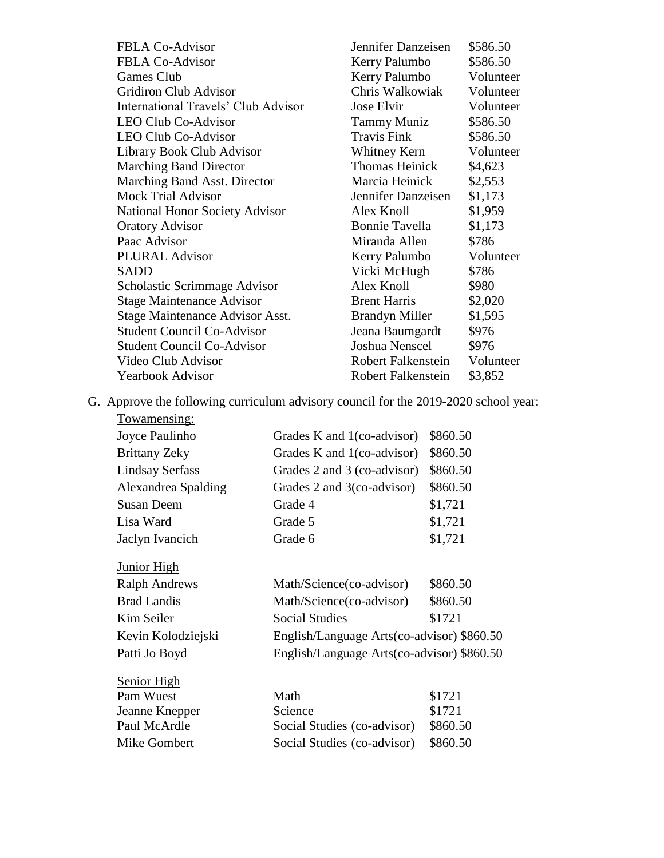| <b>FBLA Co-Advisor</b>                | Jennifer Danzeisen    | \$586.50  |
|---------------------------------------|-----------------------|-----------|
| <b>FBLA Co-Advisor</b>                | Kerry Palumbo         | \$586.50  |
| <b>Games Club</b>                     | Kerry Palumbo         | Volunteer |
| <b>Gridiron Club Advisor</b>          | Chris Walkowiak       | Volunteer |
| International Travels' Club Advisor   | Jose Elvir            | Volunteer |
| <b>LEO Club Co-Advisor</b>            | <b>Tammy Muniz</b>    | \$586.50  |
| <b>LEO Club Co-Advisor</b>            | <b>Travis Fink</b>    | \$586.50  |
| Library Book Club Advisor             | Whitney Kern          | Volunteer |
| <b>Marching Band Director</b>         | <b>Thomas Heinick</b> | \$4,623   |
| Marching Band Asst. Director          | Marcia Heinick        | \$2,553   |
| <b>Mock Trial Advisor</b>             | Jennifer Danzeisen    | \$1,173   |
| <b>National Honor Society Advisor</b> | Alex Knoll            | \$1,959   |
| <b>Oratory Advisor</b>                | Bonnie Tavella        | \$1,173   |
| Paac Advisor                          | Miranda Allen         | \$786     |
| <b>PLURAL Advisor</b>                 | Kerry Palumbo         | Volunteer |
| <b>SADD</b>                           | Vicki McHugh          | \$786     |
| Scholastic Scrimmage Advisor          | Alex Knoll            | \$980     |
| <b>Stage Maintenance Advisor</b>      | <b>Brent Harris</b>   | \$2,020   |
| Stage Maintenance Advisor Asst.       | <b>Brandyn Miller</b> | \$1,595   |
| <b>Student Council Co-Advisor</b>     | Jeana Baumgardt       | \$976     |
| <b>Student Council Co-Advisor</b>     | Joshua Nenscel        | \$976     |
| Video Club Advisor                    | Robert Falkenstein    | Volunteer |
| <b>Yearbook Advisor</b>               | Robert Falkenstein    | \$3,852   |
|                                       |                       |           |

G. Approve the following curriculum advisory council for the 2019-2020 school year:

| <u>Towamensing:</u>    |                                            |          |
|------------------------|--------------------------------------------|----------|
| Joyce Paulinho         | Grades K and 1(co-advisor)                 | \$860.50 |
| <b>Brittany Zeky</b>   | Grades K and 1(co-advisor)                 | \$860.50 |
| <b>Lindsay Serfass</b> | Grades 2 and 3 (co-advisor)                | \$860.50 |
| Alexandrea Spalding    | Grades 2 and 3(co-advisor)                 | \$860.50 |
| <b>Susan Deem</b>      | Grade 4                                    | \$1,721  |
| Lisa Ward              | Grade 5                                    | \$1,721  |
| Jaclyn Ivancich        | Grade 6                                    | \$1,721  |
| <b>Junior High</b>     |                                            |          |
| <b>Ralph Andrews</b>   | Math/Science(co-advisor)                   | \$860.50 |
| <b>Brad Landis</b>     | Math/Science(co-advisor)                   | \$860.50 |
| Kim Seiler             | <b>Social Studies</b>                      | \$1721   |
| Kevin Kolodziejski     | English/Language Arts(co-advisor) \$860.50 |          |
| Patti Jo Boyd          | English/Language Arts(co-advisor) \$860.50 |          |
| <b>Senior High</b>     |                                            |          |
| Pam Wuest              | Math                                       | \$1721   |
| Jeanne Knepper         | Science                                    | \$1721   |
| Paul McArdle           | Social Studies (co-advisor)                | \$860.50 |
| Mike Gombert           | Social Studies (co-advisor)                | \$860.50 |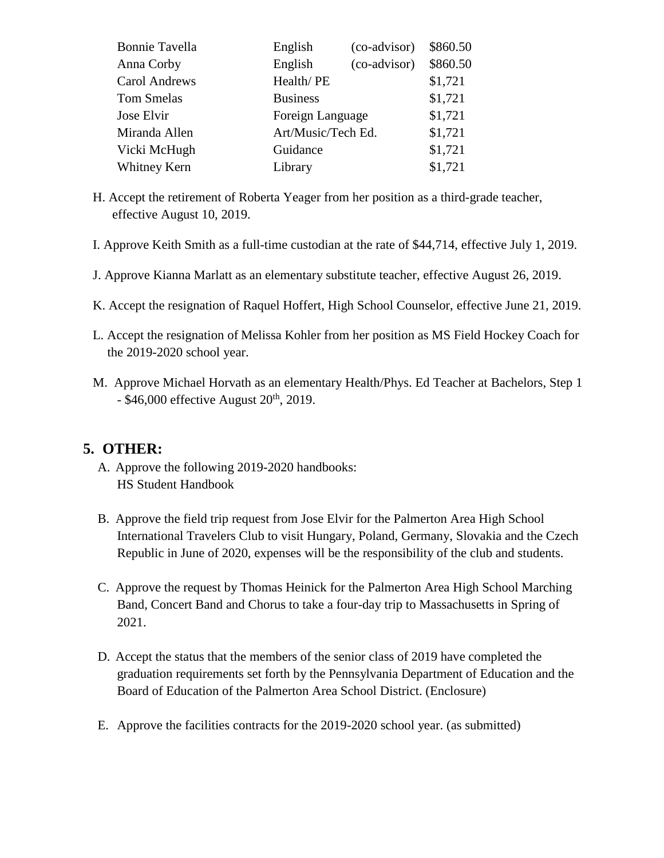| <b>Bonnie Tavella</b> | English            | (co-advisor) | \$860.50 |
|-----------------------|--------------------|--------------|----------|
| Anna Corby            | English            | (co-advisor) | \$860.50 |
| Carol Andrews         | Health/PE          |              | \$1,721  |
| <b>Tom Smelas</b>     | <b>Business</b>    |              | \$1,721  |
| Jose Elvir            | Foreign Language   |              | \$1,721  |
| Miranda Allen         | Art/Music/Tech Ed. |              | \$1,721  |
| Vicki McHugh          | Guidance           |              | \$1,721  |
| Whitney Kern          | Library            |              | \$1,721  |

- H. Accept the retirement of Roberta Yeager from her position as a third-grade teacher, effective August 10, 2019.
- I. Approve Keith Smith as a full-time custodian at the rate of \$44,714, effective July 1, 2019.
- J. Approve Kianna Marlatt as an elementary substitute teacher, effective August 26, 2019.
- K. Accept the resignation of Raquel Hoffert, High School Counselor, effective June 21, 2019.
- L. Accept the resignation of Melissa Kohler from her position as MS Field Hockey Coach for the 2019-2020 school year.
- M. Approve Michael Horvath as an elementary Health/Phys. Ed Teacher at Bachelors, Step 1  $-$  \$46,000 effective August  $20<sup>th</sup>$ , 2019.

## **5. OTHER:**

- A. Approve the following 2019-2020 handbooks: HS Student Handbook
- B. Approve the field trip request from Jose Elvir for the Palmerton Area High School International Travelers Club to visit Hungary, Poland, Germany, Slovakia and the Czech Republic in June of 2020, expenses will be the responsibility of the club and students.
- C. Approve the request by Thomas Heinick for the Palmerton Area High School Marching Band, Concert Band and Chorus to take a four-day trip to Massachusetts in Spring of 2021.
- D. Accept the status that the members of the senior class of 2019 have completed the graduation requirements set forth by the Pennsylvania Department of Education and the Board of Education of the Palmerton Area School District. (Enclosure)
- E. Approve the facilities contracts for the 2019-2020 school year. (as submitted)